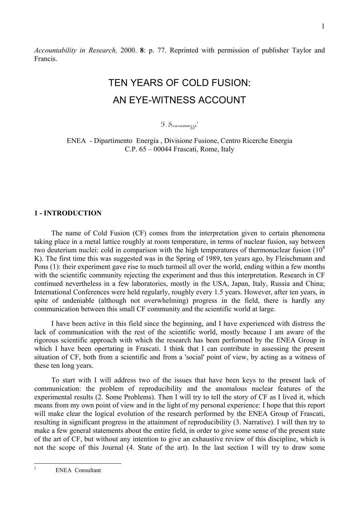*Accountability in Research,* 2000. **8**: p. 77. Reprinted with permission of publisher Taylor and Francis.

# TEN YEARS OF COLD FUSION: AN EYE-WITNESS ACCOUNT

F. Scaramuzzi[1](#page-0-0)

ENEA - Dipartimento Energia , Divisione Fusione, Centro Ricerche Energia C.P. 65 – 00044 Frascati, Rome, Italy

## **1 - INTRODUCTION**

 The name of Cold Fusion (CF) comes from the interpretation given to certain phenomena taking place in a metal lattice roughly at room temperature, in terms of nuclear fusion, say between two deuterium nuclei: cold in comparison with the high temperatures of thermonuclear fusion  $(10^8)$ K). The first time this was suggested was in the Spring of 1989, ten years ago, by Fleischmann and Pons (1): their experiment gave rise to much turmoil all over the world, ending within a few months with the scientific community rejecting the experiment and thus this interpretation. Research in CF continued nevertheless in a few laboratories, mostly in the USA, Japan, Italy, Russia and China; International Conferences were held regularly, roughly every 1.5 years. However, after ten years, in spite of undeniable (although not overwhelming) progress in the field, there is hardly any communication between this small CF community and the scientific world at large.

 I have been active in this field since the beginning, and I have experienced with distress the lack of communication with the rest of the scientific world, mostly because I am aware of the rigorous scientific approach with which the research has been performed by the ENEA Group in which I have been opertating in Frascati. I think that I can contribute in assessing the present situation of CF, both from a scientific and from a 'social' point of view, by acting as a witness of these ten long years.

 To start with I will address two of the issues that have been keys to the present lack of communication: the problem of reproducibility and the anomalous nuclear features of the experimental results (2. Some Problems). Then I will try to tell the story of CF as I lived it, which means from my own point of view and in the light of my personal experience: I hope that this report will make clear the logical evolution of the research performed by the ENEA Group of Frascati, resulting in significant progress in the attainment of reproducibility (3. Narrative). I will then try to make a few general statements about the entire field, in order to give some sense of the present state of the art of CF, but without any intention to give an exhaustive review of this discipline, which is not the scope of this Journal (4. State of the art). In the last section I will try to draw some

ENEA Consultant

<span id="page-0-0"></span> $\frac{1}{1}$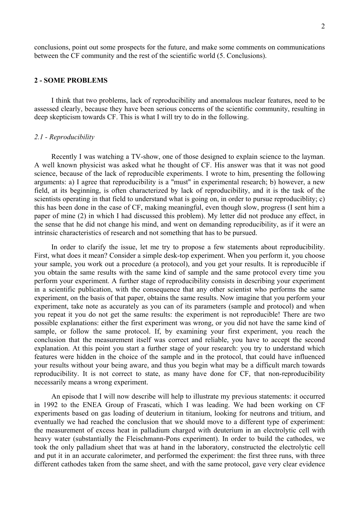conclusions, point out some prospects for the future, and make some comments on communications between the CF community and the rest of the scientific world (5. Conclusions).

#### **2 - SOME PROBLEMS**

 I think that two problems, lack of reproducibility and anomalous nuclear features, need to be assessed clearly, because they have been serious concerns of the scientific community, resulting in deep skepticism towards CF. This is what I will try to do in the following.

## *2.1 - Reproducibility*

 Recently I was watching a TV-show, one of those designed to explain science to the layman. A well known physicist was asked what he thought of CF. His answer was that it was not good science, because of the lack of reproducible experiments. I wrote to him, presenting the following arguments: a) I agree that reproducibility is a "must" in experimental research; b) however, a new field, at its beginning, is often characterized by lack of reproducibility, and it is the task of the scientists operating in that field to understand what is going on, in order to pursue reproduciblity; c) this has been done in the case of CF, making meaningful, even though slow, progress (I sent him a paper of mine (2) in which I had discussed this problem). My letter did not produce any effect, in the sense that he did not change his mind, and went on demanding reproducibility, as if it were an intrinsic characteristics of research and not something that has to be pursued.

 In order to clarify the issue, let me try to propose a few statements about reproducibility. First, what does it mean? Consider a simple desk-top experiment. When you perform it, you choose your sample, you work out a procedure (a protocol), and you get your results. It is reproducible if you obtain the same results with the same kind of sample and the same protocol every time you perform your experiment. A further stage of reproducibility consists in describing your experiment in a scientific publication, with the consequence that any other scientist who performs the same experiment, on the basis of that paper, obtains the same results. Now imagine that you perform your experiment, take note as accurately as you can of its parameters (sample and protocol) and when you repeat it you do not get the same results: the experiment is not reproducible! There are two possible explanations: either the first experiment was wrong, or you did not have the same kind of sample, or follow the same protocol. If, by examining your first experiment, you reach the conclusion that the measurement itself was correct and reliable, you have to accept the second explanation. At this point you start a further stage of your research: you try to understand which features were hidden in the choice of the sample and in the protocol, that could have influenced your results without your being aware, and thus you begin what may be a difficult march towards reproducibility. It is not correct to state, as many have done for CF, that non-reproducibility necessarily means a wrong experiment.

 An episode that I will now describe will help to illustrate my previous statements: it occurred in 1992 to the ENEA Group of Frascati, which I was leading. We had been working on CF experiments based on gas loading of deuterium in titanium, looking for neutrons and tritium, and eventually we had reached the conclusion that we should move to a different type of experiment: the measurement of excess heat in palladium charged with deuterium in an electrolytic cell with heavy water (substantially the Fleischmann-Pons experiment). In order to build the cathodes, we took the only palladium sheet that was at hand in the laboratory, constructed the electrolytic cell and put it in an accurate calorimeter, and performed the experiment: the first three runs, with three different cathodes taken from the same sheet, and with the same protocol, gave very clear evidence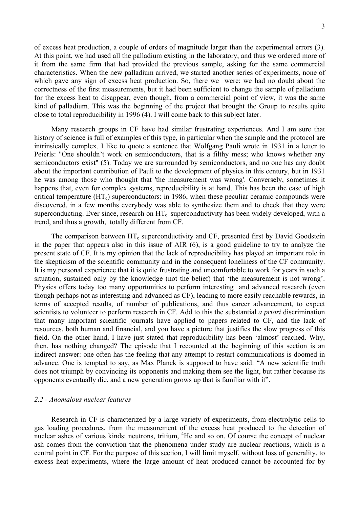of excess heat production, a couple of orders of magnitude larger than the experimental errors (3). At this point, we had used all the palladium existing in the laboratory, and thus we ordered more of it from the same firm that had provided the previous sample, asking for the same commercial characteristics. When the new palladium arrived, we started another series of experiments, none of which gave any sign of excess heat production. So, there we were: we had no doubt about the correctness of the first measurements, but it had been sufficient to change the sample of palladium for the excess heat to disappear, even though, from a commercial point of view, it was the same kind of palladium. This was the beginning of the project that brought the Group to results quite close to total reproducibility in 1996 (4). I will come back to this subject later.

 Many research groups in CF have had similar frustrating experiences. And I am sure that history of science is full of examples of this type, in particular when the sample and the protocol are intrinsically complex. I like to quote a sentence that Wolfgang Pauli wrote in 1931 in a letter to Peierls: "One shouldn't work on semiconductors, that is a filthy mess; who knows whether any semiconductors exist" (5). Today we are surrounded by semiconductors, and no one has any doubt about the important contribution of Pauli to the development of physics in this century, but in 1931 he was among those who thought that 'the measurement was wrong'. Conversely, sometimes it happens that, even for complex systems, reproducibility is at hand. This has been the case of high critical temperature  $(HT_c)$  superconductors: in 1986, when these peculiar ceramic compounds were discovered, in a few months everybody was able to synthesize them and to check that they were superconducting. Ever since, research on  $HT_c$  superconductivity has been widely developed, with a trend, and thus a growth, totally different from CF.

The comparison between  $HT_c$  superconductivity and CF, presented first by David Goodstein in the paper that appears also in this issue of AIR (6), is a good guideline to try to analyze the present state of CF. It is my opinion that the lack of reproducibility has played an important role in the skepticism of the scientific community and in the consequent loneliness of the CF community. It is my personal experience that it is quite frustrating and uncomfortable to work for years in such a situation, sustained only by the knowledge (not the belief) that 'the measurement is not wrong'. Physics offers today too many opportunities to perform interesting and advanced research (even though perhaps not as interesting and advanced as CF), leading to more easily reachable rewards, in terms of accepted results, of number of publications, and thus career advancement, to expect scientists to volunteer to perform research in CF. Add to this the substantial *a priori* discrimination that many important scientific journals have applied to papers related to CF, and the lack of resources, both human and financial, and you have a picture that justifies the slow progress of this field. On the other hand, I have just stated that reproducibility has been 'almost' reached. Why, then, has nothing changed? The episode that I recounted at the beginning of this section is an indirect answer: one often has the feeling that any attempt to restart communications is doomed in advance. One is tempted to say, as Max Planck is supposed to have said: "A new scientific truth does not triumph by convincing its opponents and making them see the light, but rather because its opponents eventually die, and a new generation grows up that is familiar with it".

### *2.2 - Anomalous nuclear features*

 Research in CF is characterized by a large variety of experiments, from electrolytic cells to gas loading procedures, from the measurement of the excess heat produced to the detection of nuclear ashes of various kinds: neutrons, tritium, <sup>4</sup>He and so on. Of course the concept of nuclear ash comes from the conviction that the phenomena under study are nuclear reactions, which is a central point in CF. For the purpose of this section, I will limit myself, without loss of generality, to excess heat experiments, where the large amount of heat produced cannot be accounted for by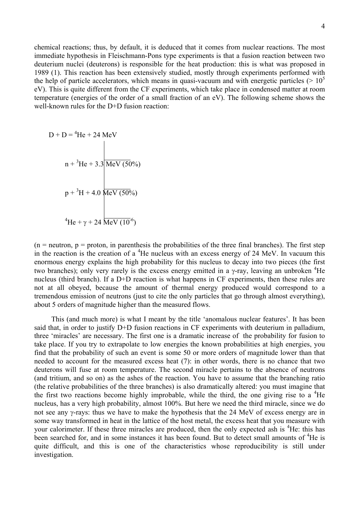chemical reactions; thus, by default, it is deduced that it comes from nuclear reactions. The most immediate hypothesis in Fleischmann-Pons type experiments is that a fusion reaction between two deuterium nuclei (deuterons) is responsible for the heat production: this is what was proposed in 1989 (1). This reaction has been extensively studied, mostly through experiments performed with the help of particle accelerators, which means in quasi-vacuum and with energetic particles ( $> 10^5$ ) eV). This is quite different from the CF experiments, which take place in condensed matter at room temperature (energies of the order of a small fraction of an eV). The following scheme shows the well-known rules for the D+D fusion reaction:

D + D = <sup>4</sup>He + 24 MeV  
\n  
\n
$$
n + {}^{3}
$$
He + 3.3 MeV (50%)  
\n
$$
p + {}^{3}
$$
H + 4.0 MeV (50%)  
\n<sup>4</sup>He +  $\gamma$  + 24 MeV (10<sup>-6</sup>)

 $(n =$  neutron,  $p =$  proton, in parenthesis the probabilities of the three final branches). The first step in the reaction is the creation of a  ${}^{4}$ He nucleus with an excess energy of 24 MeV. In vacuum this enormous energy explains the high probability for this nucleus to decay into two pieces (the first two branches); only very rarely is the excess energy emitted in a  $\gamma$ -ray, leaving an unbroken  ${}^{4}$ He nucleus (third branch). If a D+D reaction is what happens in CF experiments, then these rules are not at all obeyed, because the amount of thermal energy produced would correspond to a tremendous emission of neutrons (just to cite the only particles that go through almost everything), about 5 orders of magnitude higher than the measured flows.

This (and much more) is what I meant by the title 'anomalous nuclear features'. It has been said that, in order to justify D+D fusion reactions in CF experiments with deuterium in palladium, three 'miracles' are necessary. The first one is a dramatic increase of the probability for fusion to take place. If you try to extrapolate to low energies the known probabilities at high energies, you find that the probability of such an event is some 50 or more orders of magnitude lower than that needed to account for the measured excess heat (7): in other words, there is no chance that two deuterons will fuse at room temperature. The second miracle pertains to the absence of neutrons (and tritium, and so on) as the ashes of the reaction. You have to assume that the branching ratio (the relative probabilities of the three branches) is also dramatically altered: you must imagine that the first two reactions become highly improbable, while the third, the one giving rise to a <sup>4</sup>He nucleus, has a very high probability, almost 100%. But here we need the third miracle, since we do not see any γ-rays: thus we have to make the hypothesis that the 24 MeV of excess energy are in some way transformed in heat in the lattice of the host metal, the excess heat that you measure with your calorimeter. If these three miracles are produced, then the only expected ash is <sup>4</sup>He: this has been searched for, and in some instances it has been found. But to detect small amounts of <sup>4</sup>He is quite difficult, and this is one of the characteristics whose reproducibility is still under investigation.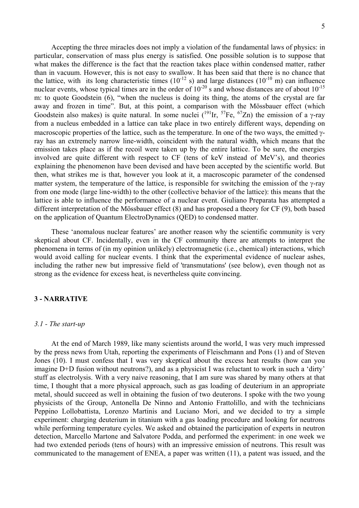Accepting the three miracles does not imply a violation of the fundamental laws of physics: in particular, conservation of mass plus energy is satisfied. One possible solution is to suppose that what makes the difference is the fact that the reaction takes place within condensed matter, rather than in vacuum. However, this is not easy to swallow. It has been said that there is no chance that the lattice, with its long characteristic times  $(10^{-12} \text{ s})$  and large distances  $(10^{-10} \text{ m})$  can influence nuclear events, whose typical times are in the order of  $10^{-20}$  s and whose distances are of about  $10^{-15}$ m: to quote Goodstein (6), "when the nucleus is doing its thing, the atoms of the crystal are far away and frozen in time". But, at this point, a comparison with the Mössbauer effect (which Goodstein also makes) is quite natural. In some nuclei ( $^{191}$ Ir,  $^{57}$ Fe,  $^{67}$ Zn) the emission of a γ-ray from a nucleus embedded in a lattice can take place in two entirely different ways, depending on macroscopic properties of the lattice, such as the temperature. In one of the two ways, the emitted  $\gamma$ ray has an extremely narrow line-width, coincident with the natural width, which means that the emission takes place as if the recoil were taken up by the entire lattice. To be sure, the energies involved are quite different with respect to CF (tens of keV instead of MeV's), and theories explaining the phenomenon have been devised and have been accepted by the scientific world. But then, what strikes me is that, however you look at it, a macroscopic parameter of the condensed matter system, the temperature of the lattice, is responsible for switching the emission of the γ-ray from one mode (large line-width) to the other (collective behavior of the lattice): this means that the lattice is able to influence the performance of a nuclear event. Giuliano Preparata has attempted a different interpretation of the Mössbauer effect (8) and has proposed a theory for CF (9), both based on the application of Quantum ElectroDynamics (QED) to condensed matter.

 These 'anomalous nuclear features' are another reason why the scientific community is very skeptical about CF. Incidentally, even in the CF community there are attempts to interpret the phenomena in terms of (in my opinion unlikely) electromagnetic (i.e., chemical) interactions, which would avoid calling for nuclear events. I think that the experimental evidence of nuclear ashes, including the rather new but impressive field of 'transmutations' (see below), even though not as strong as the evidence for excess heat, is nevertheless quite convincing.

## **3 - NARRATIVE**

#### *3.1 - The start-up*

 At the end of March 1989, like many scientists around the world, I was very much impressed by the press news from Utah, reporting the experiments of Fleischmann and Pons (1) and of Steven Jones (10). I must confess that I was very skeptical about the excess heat results (how can you imagine D+D fusion without neutrons?), and as a physicist I was reluctant to work in such a 'dirty' stuff as electrolysis. With a very naive reasoning, that I am sure was shared by many others at that time, I thought that a more physical approach, such as gas loading of deuterium in an appropriate metal, should succeed as well in obtaining the fusion of two deuterons. I spoke with the two young physicists of the Group, Antonella De Ninno and Antonio Frattolillo, and with the technicians Peppino Lollobattista, Lorenzo Martinis and Luciano Mori, and we decided to try a simple experiment: charging deuterium in titanium with a gas loading procedure and looking for neutrons while performing temperature cycles. We asked and obtained the participation of experts in neutron detection, Marcello Martone and Salvatore Podda, and performed the experiment: in one week we had two extended periods (tens of hours) with an impressive emission of neutrons. This result was communicated to the management of ENEA, a paper was written (11), a patent was issued, and the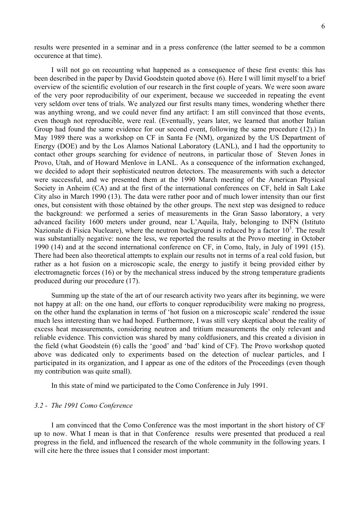results were presented in a seminar and in a press conference (the latter seemed to be a common occurence at that time).

 I will not go on recounting what happened as a consequence of these first events: this has been described in the paper by David Goodstein quoted above (6). Here I will limit myself to a brief overview of the scientific evolution of our research in the first couple of years. We were soon aware of the very poor reproducibility of our experiment, because we succeeded in repeating the event very seldom over tens of trials. We analyzed our first results many times, wondering whether there was anything wrong, and we could never find any artifact: I am still convinced that those events, even though not reproducible, were real. (Eventually, years later, we learned that another Italian Group had found the same evidence for our second event, following the same procedure (12).) In May 1989 there was a workshop on CF in Santa Fe (NM), organized by the US Department of Energy (DOE) and by the Los Alamos National Laboratory (LANL), and I had the opportunity to contact other groups searching for evidence of neutrons, in particular those of Steven Jones in Provo, Utah, and of Howard Menlove in LANL. As a consequence of the information exchanged, we decided to adopt their sophisticated neutron detectors. The measurements with such a detector were successful, and we presented them at the 1990 March meeting of the American Physical Society in Anheim (CA) and at the first of the international conferences on CF, held in Salt Lake City also in March 1990 (13). The data were rather poor and of much lower intensity than our first ones, but consistent with those obtained by the other groups. The next step was designed to reduce the background: we performed a series of measurements in the Gran Sasso laboratory, a very advanced facility 1600 meters under ground, near L'Aquila, Italy, belonging to INFN (Istituto Nazionale di Fisica Nucleare), where the neutron background is reduced by a factor  $10<sup>3</sup>$ . The result was substantially negative: none the less, we reported the results at the Provo meeting in October 1990 (14) and at the second international conference on CF, in Como, Italy, in July of 1991 (15). There had been also theoretical attempts to explain our results not in terms of a real cold fusion, but rather as a hot fusion on a microscopic scale, the energy to justify it being provided either by electromagnetic forces (16) or by the mechanical stress induced by the strong temperature gradients produced during our procedure (17).

 Summing up the state of the art of our research activity two years after its beginning, we were not happy at all: on the one hand, our efforts to conquer reproducibility were making no progress, on the other hand the explanation in terms of 'hot fusion on a microscopic scale' rendered the issue much less interesting than we had hoped. Furthermore, I was still very skeptical about the reality of excess heat measurements, considering neutron and tritium measurements the only relevant and reliable evidence. This conviction was shared by many coldfusioners, and this created a division in the field (what Goodstein (6) calls the 'good' and 'bad' kind of CF). The Provo workshop quoted above was dedicated only to experiments based on the detection of nuclear particles, and I participated in its organization, and I appear as one of the editors of the Proceedings (even though my contribution was quite small).

In this state of mind we participated to the Como Conference in July 1991.

## *3.2 - The 1991 Como Conference*

 I am convinced that the Como Conference was the most important in the short history of CF up to now. What I mean is that in that Conference results were presented that produced a real progress in the field, and influenced the research of the whole community in the following years. I will cite here the three issues that I consider most important: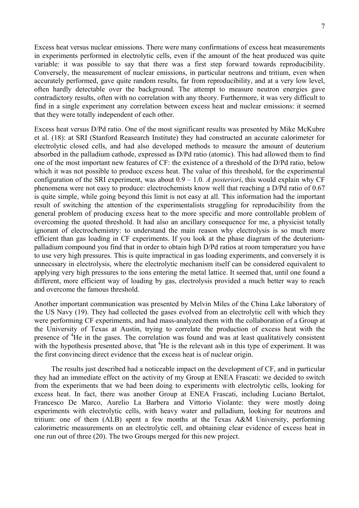Excess heat versus nuclear emissions. There were many confirmations of excess heat measurements in experiments performed in electrolytic cells, even if the amount of the heat produced was quite variable: it was possible to say that there was a first step forward towards reproducibility. Conversely, the measurement of nuclear emissions, in particular neutrons and tritium, even when accurately performed, gave quite random results, far from reproducibility, and at a very low level, often hardly detectable over the background. The attempt to measure neutron energies gave contradictory results, often with no correlation with any theory. Furthermore, it was very difficult to find in a single experiment any correlation between excess heat and nuclear emissions: it seemed that they were totally independent of each other.

Excess heat versus D/Pd ratio. One of the most significant results was presented by Mike McKubre et al. (18): at SRI (Stanford Reasearch Institute) they had constructed an accurate calorimeter for electrolytic closed cells, and had also developed methods to measure the amount of deuterium absorbed in the palladium cathode, expressed as D/Pd ratio (atomic). This had allowed them to find one of the most important new features of CF: the existence of a threshold of the D/Pd ratio, below which it was not possible to produce excess heat. The value of this threshold, for the experimental configuration of the SRI experiment, was about 0.9 – 1.0. *A posteriori*, this would explain why CF phenomena were not easy to produce: electrochemists know well that reaching a D/Pd ratio of 0.67 is quite simple, while going beyond this limit is not easy at all. This information had the important result of switching the attention of the experimentalists struggling for reproducibility from the general problem of producing excess heat to the more specific and more controllable problem of overcoming the quoted threshold. It had also an ancillary consequence for me, a physicist totally ignorant of electrochemistry: to understand the main reason why electrolysis is so much more efficient than gas loading in CF experiments. If you look at the phase diagram of the deuteriumpalladium compound you find that in order to obtain high D/Pd ratios at room temperature you have to use very high pressures. This is quite impractical in gas loading experiments, and conversely it is unnecssary in electrolysis, where the electrolytic mechanism itself can be considered equivalent to applying very high pressures to the ions entering the metal lattice. It seemed that, until one found a different, more efficient way of loading by gas, electrolysis provided a much better way to reach and overcome the famous threshold.

Another important communication was presented by Melvin Miles of the China Lake laboratory of the US Navy (19). They had collected the gases evolved from an electrolytic cell with which they were performing CF experiments, and had mass-analyzed them with the collaboration of a Group at the University of Texas at Austin, trying to correlate the production of excess heat with the presence of <sup>4</sup>He in the gases. The correlation was found and was at least qualitatively consistent with the hypothesis presented above, that  ${}^{4}$ He is the relevant ash in this type of experiment. It was the first convincing direct evidence that the excess heat is of nuclear origin.

 The results just described had a noticeable impact on the development of CF, and in particular they had an immediate effect on the activity of my Group at ENEA Frascati: we decided to switch from the experiments that we had been doing to experiments with electrolytic cells, looking for excess heat. In fact, there was another Group at ENEA Frascati, including Luciano Bertalot, Francesco De Marco, Aurelio La Barbera and Vittorio Violante: they were mostly doing experiments with electrolytic cells, with heavy water and palladium, looking for neutrons and tritium: one of them (ALB) spent a few months at the Texas A&M University, performing calorimetric measurements on an electrolytic cell, and obtaining clear evidence of excess heat in one run out of three (20). The two Groups merged for this new project.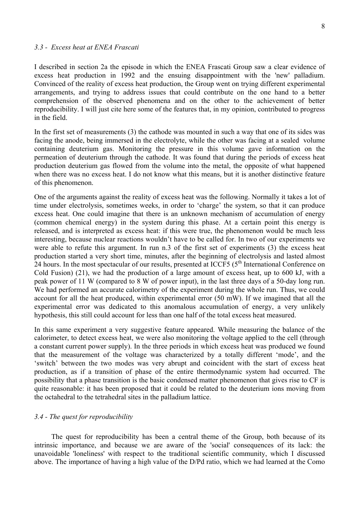#### *3.3 - Excess heat at ENEA Frascati*

I described in section 2a the episode in which the ENEA Frascati Group saw a clear evidence of excess heat production in 1992 and the ensuing disappointment with the 'new' palladium. Convinced of the reality of excess heat production, the Group went on trying different experimental arrangements, and trying to address issues that could contribute on the one hand to a better comprehension of the observed phenomena and on the other to the achievement of better reproducibility. I will just cite here some of the features that, in my opinion, contributed to progress in the field.

In the first set of measurements (3) the cathode was mounted in such a way that one of its sides was facing the anode, being immersed in the electrolyte, while the other was facing at a sealed volume containing deuterium gas. Monitoring the pressure in this volume gave information on the permeation of deuterium through the cathode. It was found that during the periods of excess heat production deuterium gas flowed from the volume into the metal, the opposite of what happened when there was no excess heat. I do not know what this means, but it is another distinctive feature of this phenomenon.

One of the arguments against the reality of excess heat was the following. Normally it takes a lot of time under electrolysis, sometimes weeks, in order to 'charge' the system, so that it can produce excess heat. One could imagine that there is an unknown mechanism of accumulation of energy (common chemical energy) in the system during this phase. At a certain point this energy is released, and is interpreted as excess heat: if this were true, the phenomenon would be much less interesting, because nuclear reactions wouldn't have to be called for. In two of our experiments we were able to refute this argument. In run n.3 of the first set of experiments (3) the excess heat production started a very short time, minutes, after the beginning of electrolysis and lasted almost 24 hours. In the most spectacular of our results, presented at ICCF5 ( $5<sup>th</sup>$  International Conference on Cold Fusion) (21), we had the production of a large amount of excess heat, up to 600 kJ, with a peak power of 11 W (compared to 8 W of power input), in the last three days of a 50-day long run. We had performed an accurate calorimetry of the experiment during the whole run. Thus, we could account for all the heat produced, within experimental error (50 mW). If we imagined that all the experimental error was dedicated to this anomalous accumulation of energy, a very unlikely hypothesis, this still could account for less than one half of the total excess heat measured.

In this same experiment a very suggestive feature appeared. While measuring the balance of the calorimeter, to detect excess heat, we were also monitoring the voltage applied to the cell (through a constant current power supply). In the three periods in which excess heat was produced we found that the measurement of the voltage was characterized by a totally different 'mode', and the 'switch' between the two modes was very abrupt and coincident with the start of excess heat production, as if a transition of phase of the entire thermodynamic system had occurred. The possibility that a phase transition is the basic condensed matter phenomenon that gives rise to CF is quite reasonable: it has been proposed that it could be related to the deuterium ions moving from the octahedral to the tetrahedral sites in the palladium lattice.

## *3.4 - The quest for reproducibility*

 The quest for reproducibility has been a central theme of the Group, both because of its intrinsic importance, and because we are aware of the 'social' consequences of its lack: the unavoidable 'loneliness' with respect to the traditional scientific community, which I discussed above. The importance of having a high value of the D/Pd ratio, which we had learned at the Como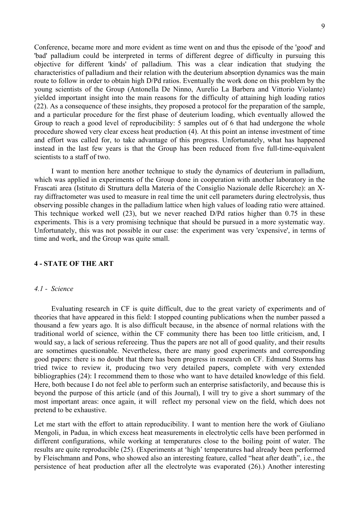Conference, became more and more evident as time went on and thus the episode of the 'good' and 'bad' palladium could be interpreted in terms of different degree of difficulty in pursuing this objective for different 'kinds' of palladium. This was a clear indication that studying the characteristics of palladium and their relation with the deuterium absorption dynamics was the main route to follow in order to obtain high D/Pd ratios. Eventually the work done on this problem by the young scientists of the Group (Antonella De Ninno, Aurelio La Barbera and Vittorio Violante) yielded important insight into the main reasons for the difficulty of attaining high loading ratios (22). As a consequence of these insights, they proposed a protocol for the preparation of the sample, and a particular procedure for the first phase of deuterium loading, which eventually allowed the Group to reach a good level of reproducibility: 5 samples out of 6 that had undergone the whole procedure showed very clear excess heat production (4). At this point an intense investment of time and effort was called for, to take advantage of this progress. Unfortunately, what has happened instead in the last few years is that the Group has been reduced from five full-time-equivalent scientists to a staff of two.

 I want to mention here another technique to study the dynamics of deuterium in palladium, which was applied in experiments of the Group done in cooperation with another laboratory in the Frascati area (Istituto di Struttura della Materia of the Consiglio Nazionale delle Ricerche): an Xray diffractometer was used to measure in real time the unit cell parameters during electrolysis, thus observing possible changes in the palladium lattice when high values of loading ratio were attained. This technique worked well (23), but we never reached D/Pd ratios higher than 0.75 in these experiments. This is a very promising technique that should be pursued in a more systematic way. Unfortunately, this was not possible in our case: the experiment was very 'expensive', in terms of time and work, and the Group was quite small.

## **4 - STATE OF THE ART**

## *4.1 - Science*

 Evaluating research in CF is quite difficult, due to the great variety of experiments and of theories that have appeared in this field: I stopped counting publications when the number passed a thousand a few years ago. It is also difficult because, in the absence of normal relations with the traditional world of science, within the CF community there has been too little criticism, and, I would say, a lack of serious refereeing. Thus the papers are not all of good quality, and their results are sometimes questionable. Nevertheless, there are many good experiments and corresponding good papers: there is no doubt that there has been progress in research on CF. Edmund Storms has tried twice to review it, producing two very detailed papers, complete with very extended bibliographies (24): I recommend them to those who want to have detailed knowledge of this field. Here, both because I do not feel able to perform such an enterprise satisfactorily, and because this is beyond the purpose of this article (and of this Journal), I will try to give a short summary of the most important areas: once again, it will reflect my personal view on the field, which does not pretend to be exhaustive.

Let me start with the effort to attain reproducibility. I want to mention here the work of Giuliano Mengoli, in Padua, in which excess heat measurements in electrolytic cells have been performed in different configurations, while working at temperatures close to the boiling point of water. The results are quite reproducible (25). (Experiments at 'high' temperatures had already been performed by Fleischmann and Pons, who showed also an interesting feature, called "heat after death", i.e., the persistence of heat production after all the electrolyte was evaporated (26).) Another interesting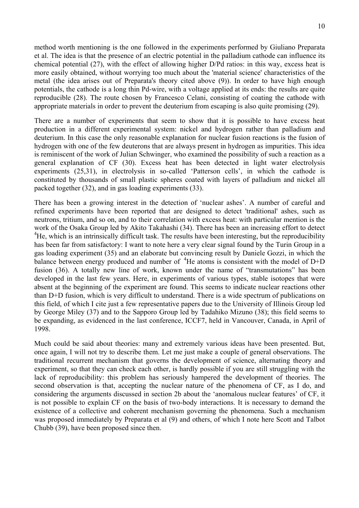method worth mentioning is the one followed in the experiments performed by Giuliano Preparata et al. The idea is that the presence of an electric potential in the palladium cathode can influence its chemical potential (27), with the effect of allowing higher D/Pd ratios: in this way, excess heat is more easily obtained, without worrying too much about the 'material science' characteristics of the metal (the idea arises out of Preparata's theory cited above (9)). In order to have high enough potentials, the cathode is a long thin Pd-wire, with a voltage applied at its ends: the results are quite reproducible (28). The route chosen by Francesco Celani, consisting of coating the cathode with appropriate materials in order to prevent the deuterium from escaping is also quite promising (29).

There are a number of experiments that seem to show that it is possible to have excess heat production in a different experimental system: nickel and hydrogen rather than palladium and deuterium. In this case the only reasonable explanation for nuclear fusion reactions is the fusion of hydrogen with one of the few deuterons that are always present in hydrogen as impurities. This idea is reminiscent of the work of Julian Schwinger, who examined the possibility of such a reaction as a general explanation of CF (30). Excess heat has been detected in light water electrolysis experiments (25,31), in electrolysis in so-called 'Patterson cells', in which the cathode is constituted by thousands of small plastic spheres coated with layers of palladium and nickel all packed together (32), and in gas loading experiments (33).

There has been a growing interest in the detection of 'nuclear ashes'. A number of careful and refined experiments have been reported that are designed to detect 'traditional' ashes, such as neutrons, tritium, and so on, and to their correlation with excess heat: with particular mention is the work of the Osaka Group led by Akito Takahashi (34). There has been an increasing effort to detect <sup>4</sup>He, which is an intrinsically difficult task. The results have been interesting, but the reproducibility has been far from satisfactory: I want to note here a very clear signal found by the Turin Group in a gas loading experiment (35) and an elaborate but convincing result by Daniele Gozzi, in which the balance between energy produced and number of  ${}^{4}$ He atoms is consistent with the model of D+D fusion (36). A totally new line of work, known under the name of "transmutations" has been developed in the last few years. Here, in experiments of various types, stable isotopes that were absent at the beginning of the experiment are found. This seems to indicate nuclear reactions other than D+D fusion, which is very difficult to understand. There is a wide spectrum of publications on this field, of which I cite just a few representative papers due to the University of Illinois Group led by George Miley (37) and to the Sapporo Group led by Tadahiko Mizuno (38); this field seems to be expanding, as evidenced in the last conference, ICCF7, held in Vancouver, Canada, in April of 1998.

Much could be said about theories: many and extremely various ideas have been presented. But, once again, I will not try to describe them. Let me just make a couple of general observations. The traditional recurrent mechanism that governs the development of science, alternating theory and experiment, so that they can check each other, is hardly possible if you are still struggling with the lack of reproducibility: this problem has seriously hampered the development of theories. The second observation is that, accepting the nuclear nature of the phenomena of CF, as I do, and considering the arguments discussed in section 2b about the 'anomalous nuclear features' of CF, it is not possible to explain CF on the basis of two-body interactions. It is necessary to demand the existence of a collective and coherent mechanism governing the phenomena. Such a mechanism was proposed immediately by Preparata et al (9) and others, of which I note here Scott and Talbot Chubb (39), have been proposed since then.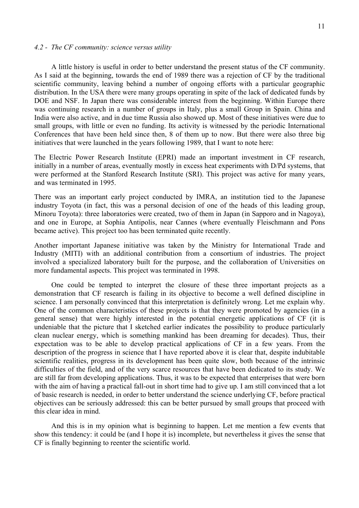## *4.2 - The CF community: science versus utility*

 A little history is useful in order to better understand the present status of the CF community. As I said at the beginning, towards the end of 1989 there was a rejection of CF by the traditional scientific community, leaving behind a number of ongoing efforts with a particular geographic distribution. In the USA there were many groups operating in spite of the lack of dedicated funds by DOE and NSF. In Japan there was considerable interest from the beginning. Within Europe there was continuing research in a number of groups in Italy, plus a small Group in Spain. China and India were also active, and in due time Russia also showed up. Most of these initiatives were due to small groups, with little or even no funding. Its activity is witnessed by the periodic International Conferences that have been held since then, 8 of them up to now. But there were also three big initiatives that were launched in the years following 1989, that I want to note here:

The Electric Power Research Institute (EPRI) made an important investment in CF research, initially in a number of areas, eventually mostly in excess heat experiments with D/Pd systems, that were performed at the Stanford Research Institute (SRI). This project was active for many years, and was terminated in 1995.

There was an important early project conducted by IMRA, an institution tied to the Japanese industry Toyota (in fact, this was a personal decision of one of the heads of this leading group, Minoru Toyota): three laboratories were created, two of them in Japan (in Sapporo and in Nagoya), and one in Europe, at Sophia Antipolis, near Cannes (where eventually Fleischmann and Pons became active). This project too has been terminated quite recently.

Another important Japanese initiative was taken by the Ministry for International Trade and Industry (MITI) with an additional contribution from a consortium of industries. The project involved a specialized laboratory built for the purpose, and the collaboration of Universities on more fundamental aspects. This project was terminated in 1998.

 One could be tempted to interpret the closure of these three important projects as a demonstration that CF research is failing in its objective to become a well defined discipline in science. I am personally convinced that this interpretation is definitely wrong. Let me explain why. One of the common characteristics of these projects is that they were promoted by agencies (in a general sense) that were highly interested in the potential energetic applications of CF (it is undeniable that the picture that I sketched earlier indicates the possibility to produce particularly clean nuclear energy, which is something mankind has been dreaming for decades). Thus, their expectation was to be able to develop practical applications of CF in a few years. From the description of the progress in science that I have reported above it is clear that, despite indubitable scientific realities, progress in its development has been quite slow, both because of the intrinsic difficulties of the field, and of the very scarce resources that have been dedicated to its study. We are still far from developing applications. Thus, it was to be expected that enterprises that were born with the aim of having a practical fall-out in short time had to give up. I am still convinced that a lot of basic research is needed, in order to better understand the science underlying CF, before practical objectives can be seriously addressed: this can be better pursued by small groups that proceed with this clear idea in mind.

 And this is in my opinion what is beginning to happen. Let me mention a few events that show this tendency: it could be (and I hope it is) incomplete, but nevertheless it gives the sense that CF is finally beginning to reenter the scientific world.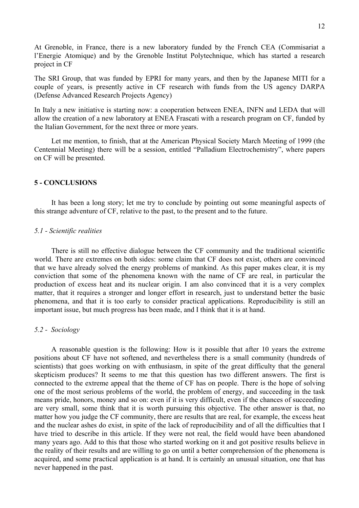At Grenoble, in France, there is a new laboratory funded by the French CEA (Commisariat a l'Energie Atomique) and by the Grenoble Institut Polytechnique, which has started a research project in CF

The SRI Group, that was funded by EPRI for many years, and then by the Japanese MITI for a couple of years, is presently active in CF research with funds from the US agency DARPA (Defense Advanced Research Projects Agency)

In Italy a new initiative is starting now: a cooperation between ENEA, INFN and LEDA that will allow the creation of a new laboratory at ENEA Frascati with a research program on CF, funded by the Italian Government, for the next three or more years.

 Let me mention, to finish, that at the American Physical Society March Meeting of 1999 (the Centennial Meeting) there will be a session, entitled "Palladium Electrochemistry", where papers on CF will be presented.

## **5 - CONCLUSIONS**

 It has been a long story; let me try to conclude by pointing out some meaningful aspects of this strange adventure of CF, relative to the past, to the present and to the future.

## *5.1 - Scientific realities*

 There is still no effective dialogue between the CF community and the traditional scientific world. There are extremes on both sides: some claim that CF does not exist, others are convinced that we have already solved the energy problems of mankind. As this paper makes clear, it is my conviction that some of the phenomena known with the name of CF are real, in particular the production of excess heat and its nuclear origin. I am also convinced that it is a very complex matter, that it requires a stronger and longer effort in research, just to understand better the basic phenomena, and that it is too early to consider practical applications. Reproducibility is still an important issue, but much progress has been made, and I think that it is at hand.

## *5.2 - Sociology*

 A reasonable question is the following: How is it possible that after 10 years the extreme positions about CF have not softened, and nevertheless there is a small community (hundreds of scientists) that goes working on with enthusiasm, in spite of the great difficulty that the general skepticism produces? It seems to me that this question has two different answers. The first is connected to the extreme appeal that the theme of CF has on people. There is the hope of solving one of the most serious problems of the world, the problem of energy, and succeeding in the task means pride, honors, money and so on: even if it is very difficult, even if the chances of succeeding are very small, some think that it is worth pursuing this objective. The other answer is that, no matter how you judge the CF community, there are results that are real, for example, the excess heat and the nuclear ashes do exist, in spite of the lack of reproducibility and of all the difficulties that I have tried to describe in this article. If they were not real, the field would have been abandoned many years ago. Add to this that those who started working on it and got positive results believe in the reality of their results and are willing to go on until a better comprehension of the phenomena is acquired, and some practical application is at hand. It is certainly an unusual situation, one that has never happened in the past.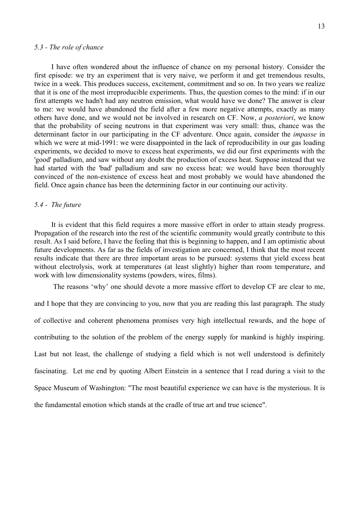#### *5.3 - The role of chance*

 I have often wondered about the influence of chance on my personal history. Consider the first episode: we try an experiment that is very naive, we perform it and get tremendous results, twice in a week. This produces success, excitement, commitment and so on. In two years we realize that it is one of the most irreproducible experiments. Thus, the question comes to the mind: if in our first attempts we hadn't had any neutron emission, what would have we done? The answer is clear to me: we would have abandoned the field after a few more negative attempts, exactly as many others have done, and we would not be involved in research on CF. Now, *a posteriori*, we know that the probability of seeing neutrons in that experiment was very small: thus, chance was the determinant factor in our participating in the CF adventure. Once again, consider the *impasse* in which we were at mid-1991: we were disappointed in the lack of reproducibility in our gas loading experiments, we decided to move to excess heat experiments, we did our first experiments with the 'good' palladium, and saw without any doubt the production of excess heat. Suppose instead that we had started with the 'bad' palladium and saw no excess heat: we would have been thoroughly convinced of the non-existence of excess heat and most probably we would have abandoned the field. Once again chance has been the determining factor in our continuing our activity.

## *5.4 - The future*

 It is evident that this field requires a more massive effort in order to attain steady progress. Propagation of the research into the rest of the scientific community would greatly contribute to this result. As I said before, I have the feeling that this is beginning to happen, and I am optimistic about future developments. As far as the fields of investigation are concerned, I think that the most recent results indicate that there are three important areas to be pursued: systems that yield excess heat without electrolysis, work at temperatures (at least slightly) higher than room temperature, and work with low dimensionality systems (powders, wires, films).

The reasons 'why' one should devote a more massive effort to develop CF are clear to me,

and I hope that they are convincing to you, now that you are reading this last paragraph. The study of collective and coherent phenomena promises very high intellectual rewards, and the hope of contributing to the solution of the problem of the energy supply for mankind is highly inspiring. Last but not least, the challenge of studying a field which is not well understood is definitely fascinating. Let me end by quoting Albert Einstein in a sentence that I read during a visit to the Space Museum of Washington: "The most beautiful experience we can have is the mysterious. It is the fundamental emotion which stands at the cradle of true art and true science".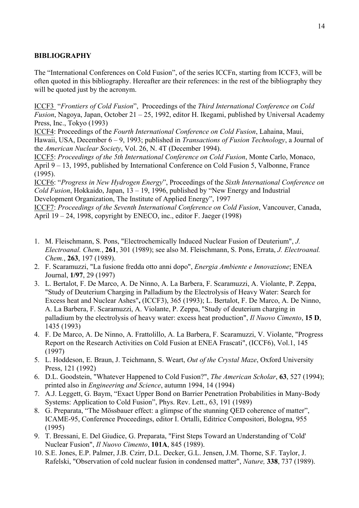## **BIBLIOGRAPHY**

The "International Conferences on Cold Fusion", of the series ICCFn, starting from ICCF3, will be often quoted in this bibliography. Hereafter are their references: in the rest of the bibliography they will be quoted just by the acronym.

ICCF3 "*Frontiers of Cold Fusion*", Proceedings of the *Third International Conference on Cold Fusion*, Nagoya, Japan, October 21 – 25, 1992, editor H. Ikegami, published by Universal Academy Press, Inc., Tokyo (1993)

ICCF4: Proceedings of the *Fourth International Conference on Cold Fusion*, Lahaina, Maui, Hawaii, USA, December 6 – 9, 1993; published in *Transactions of Fusion Technology*, a Journal of the *American Nuclear Society*, Vol. 26, N. 4T (December 1994).

ICCF5: *Proceedings of the 5th International Conference on Cold Fusion*, Monte Carlo, Monaco, April 9 – 13, 1995, published by International Conference on Cold Fusion 5, Valbonne, France (1995).

ICCF6: "*Progress in New Hydrogen Energy*", Proceedings of the *Sixth International Conference on Cold Fusion*, Hokkaido, Japan, 13 – 19, 1996, published by "New Energy and Industrial Development Organization, The Institute of Applied Energy", 1997

ICCF7: *Proceedings of the Seventh International Conference on Cold Fusion*, Vancouver, Canada, April 19 – 24, 1998, copyright by ENECO, inc., editor F. Jaeger (1998)

- 1. M. Fleischmann, S. Pons, "Electrochemically Induced Nuclear Fusion of Deuterium", *J. Electroanal. Chem.*, **261**, 301 (1989); see also M. Fleischmann, S. Pons, Errata, *J. Electroanal. Chem.*, **263**, 197 (1989).
- 2. F. Scaramuzzi, "La fusione fredda otto anni dopo", *Energia Ambiente e Innovazione*; ENEA Journal, **1/97**, 29 (1997)
- 3. L. Bertalot, F. De Marco, A. De Ninno, A. La Barbera, F. Scaramuzzi, A. Violante, P. Zeppa, "Study of Deuterium Charging in Palladium by the Electrolysis of Heavy Water: Search for Excess heat and Nuclear Ashes"**,** (ICCF3), 365 (1993); L. Bertalot, F. De Marco, A. De Ninno, A. La Barbera, F. Scaramuzzi, A. Violante, P. Zeppa, "Study of deuterium charging in palladium by the electrolysis of heavy water: excess heat production", *Il Nuovo Cimento*, **15 D**, 1435 (1993)
- 4. F. De Marco, A. De Ninno, A. Frattolillo, A. La Barbera, F. Scaramuzzi, V. Violante, "Progress Report on the Research Activities on Cold Fusion at ENEA Frascati", (ICCF6), Vol.1, 145 (1997)
- 5. L. Hoddeson, E. Braun, J. Teichmann, S. Weart, *Out of the Crystal Maze*, Oxford University Press, 121 (1992)
- 6. D.L. Goodstein, "Whatever Happened to Cold Fusion?", *The American Scholar*, **63**, 527 (1994); printed also in *Engineering and Science*, autumn 1994, 14 (1994)
- 7. A.J. Leggett, G. Baym, "Exact Upper Bond on Barrier Penetration Probabilities in Many-Body Systems: Application to Cold Fusion", Phys. Rev. Lett., 63, 191 (1989)
- 8. G. Preparata, "The Mössbauer effect: a glimpse of the stunning QED coherence of matter", ICAME-95, Conference Proceedings, editor I. Ortalli, Editrice Compositori, Bologna, 955 (1995)
- 9. T. Bressani, E. Del Giudice, G. Preparata, "First Steps Toward an Understanding of 'Cold' Nuclear Fusion", *Il Nuovo Cimento*, **101A**, 845 (1989).
- 10. S.E. Jones, E.P. Palmer, J.B. Czirr, D.L. Decker, G.L. Jensen, J.M. Thorne, S.F. Taylor, J. Rafelski, "Observation of cold nuclear fusion in condensed matter", *Nature,* **338**, 737 (1989).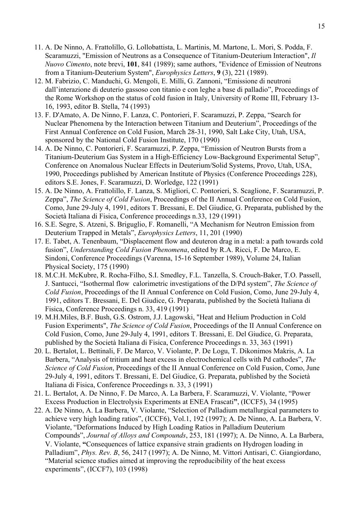- 11. A. De Ninno, A. Frattolillo, G. Lollobattista, L. Martinis, M. Martone, L. Mori, S. Podda, F. Scaramuzzi, "Emission of Neutrons as a Consequence of Titanium-Deuterium Interaction", *Il Nuovo Cimento*, note brevi, **101**, 841 (1989); same authors, "Evidence of Emission of Neutrons from a Titanium-Deuterium System", *Europhysics Letters*, **9** (3), 221 (1989).
- 12. M. Fabrizio, C. Manduchi, G. Mengoli, E. Milli, G. Zannoni, "Emissione di neutroni dall'interazione di deuterio gassoso con titanio e con leghe a base di palladio", Proceedings of the Rome Workshop on the status of cold fusion in Italy, University of Rome III, February 13- 16, 1993, editor B. Stella, 74 (1993)
- 13. F. D'Amato, A. De Ninno, F. Lanza, C. Pontorieri, F. Scaramuzzi, P. Zeppa, "Search for Nuclear Phenomena by the Interaction between Titanium and Deuterium", Proceedings of the First Annual Conference on Cold Fusion, March 28-31, 1990, Salt Lake City, Utah, USA, sponsored by the National Cold Fusion Institute, 170 (1990)
- 14. A. De Ninno, C. Pontorieri, F. Scaramuzzi, P. Zeppa, "Emission of Neutron Bursts from a Titanium-Deuterium Gas System in a High-Efficiency Low-Background Experimental Setup", Conference on Anomalous Nuclear Effects in Deuterium/Solid Systems, Provo, Utah, USA, 1990, Proceedings published by American Institute of Physics (Conference Proceedings 228), editors S.E. Jones, F. Scaramuzzi, D. Worledge, 122 (1991)
- 15. A. De Ninno, A. Frattolillo, F. Lanza, S. Migliori, C. Pontorieri, S. Scaglione, F. Scaramuzzi, P. Zeppa", *The Science of Cold Fusion*, Proceedings of the II Annual Conference on Cold Fusion, Como, June 29-July 4, 1991, editors T. Bressani, E. Del Giudice, G. Preparata, published by the Società Italiana di Fisica, Conference proceedings n.33, 129 (1991)
- 16. S.E. Segre, S. Atzeni, S. Briguglio, F. Romanelli, "A Mechanism for Neutron Emission from Deuterium Trapped in Metals", *Europhysics Letters*, 11, 201 (1990)
- 17. E. Tabet, A. Tenenbaum, "Displacement flow and deuteron drag in a metal: a path towards cold fusion", *Understanding Cold Fusion Phenomena*, edited by R.A. Ricci, F. De Marco, E. Sindoni, Conference Proceedings (Varenna, 15-16 September 1989), Volume 24, Italian Physical Society, 175 (1990)
- 18. M.C.H. McKubre, R. Rocha-Filho, S.I. Smedley, F.L. Tanzella, S. Crouch-Baker, T.O. Passell, J. Santucci, "Isothermal flow calorimetric investigations of the D/Pd system", *The Science of Cold Fusion*, Proceedings of the II Annual Conference on Cold Fusion, Como, June 29-July 4, 1991, editors T. Bressani, E. Del Giudice, G. Preparata, published by the Società Italiana di Fisica, Conference Proceedings n. 33, 419 (1991)
- 19. M.H.Miles, B.F. Bush, G.S. Ostrom, J.J. Lagowski, "Heat and Helium Production in Cold Fusion Experiments", *The Science of Cold Fusion*, Proceedings of the II Annual Conference on Cold Fusion, Como, June 29-July 4, 1991, editors T. Bressani, E. Del Giudice, G. Preparata, published by the Società Italiana di Fisica, Conference Proceedings n. 33, 363 (1991)
- 20. L. Bertalot, L. Bettinali, F. De Marco, V. Violante, P. De Logu, T. Dikonimos Makris, A. La Barbera, "Analysis of tritium and heat excess in electrochemical cells with Pd cathodes", *The Science of Cold Fusion*, Proceedings of the II Annual Conference on Cold Fusion, Como, June 29-July 4, 1991, editors T. Bressani, E. Del Giudice, G. Preparata, published by the Società Italiana di Fisica, Conference Proceedings n. 33, 3 (1991)
- 21. L. Bertalot, A. De Ninno, F. De Marco, A. La Barbera, F. Scaramuzzi, V. Violante, "Power Excess Production in Electrolysis Experiments at ENEA Frascati**"**, (ICCF5), 34 (1995)
- 22. A. De Ninno, A. La Barbera, V. Violante, "Selection of Palladium metallurgical parameters to achieve very high loading ratios", (ICCF6), Vol.1, 192 (1997); A. De Ninno, A. La Barbera, V. Violante, "Deformations Induced by High Loading Ratios in Palladium Deuterium Compounds", *Journal of Alloys and Compounds*, 253, 181 (1997); A. De Ninno, A. La Barbera, V. Violante, **"**Consequences of lattice expansive strain gradients on Hydrogen loading in Palladium", *Phys. Rev. B*, 56, 2417 (1997); A. De Ninno, M. Vittori Antisari, C. Giangiordano, "Material science studies aimed at improving the reproducibility of the heat excess experiments", (ICCF7), 103 (1998)